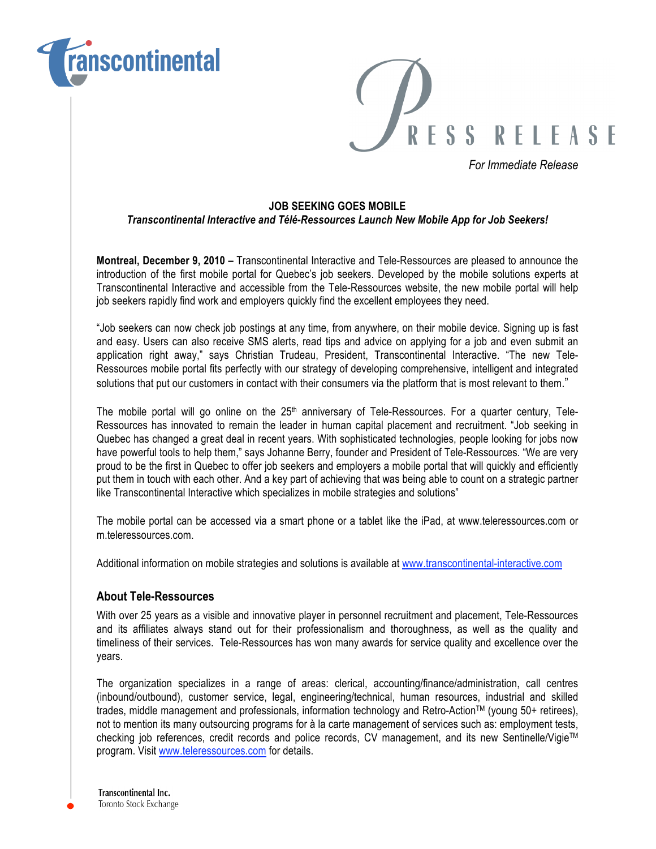



*For Immediate Release*

### **JOB SEEKING GOES MOBILE**

## *Transcontinental Interactive and Télé-Ressources Launch New Mobile App for Job Seekers!*

**Montreal, December 9, 2010 –** Transcontinental Interactive and Tele-Ressources are pleased to announce the introduction of the first mobile portal for Quebec's job seekers. Developed by the mobile solutions experts at Transcontinental Interactive and accessible from the Tele-Ressources website, the new mobile portal will help job seekers rapidly find work and employers quickly find the excellent employees they need.

"Job seekers can now check job postings at any time, from anywhere, on their mobile device. Signing up is fast and easy. Users can also receive SMS alerts, read tips and advice on applying for a job and even submit an application right away," says Christian Trudeau, President, Transcontinental Interactive. "The new Tele-Ressources mobile portal fits perfectly with our strategy of developing comprehensive, intelligent and integrated solutions that put our customers in contact with their consumers via the platform that is most relevant to them."

The mobile portal will go online on the 25<sup>th</sup> anniversary of Tele-Ressources. For a quarter century, Tele-Ressources has innovated to remain the leader in human capital placement and recruitment. "Job seeking in Quebec has changed a great deal in recent years. With sophisticated technologies, people looking for jobs now have powerful tools to help them," says Johanne Berry, founder and President of Tele-Ressources. "We are very proud to be the first in Quebec to offer job seekers and employers a mobile portal that will quickly and efficiently put them in touch with each other. And a key part of achieving that was being able to count on a strategic partner like Transcontinental Interactive which specializes in mobile strategies and solutions"

The mobile portal can be accessed via a smart phone or a tablet like the iPad, at www.teleressources.com or m.teleressources.com.

Additional information on mobile strategies and solutions is available at www.transcontinental-interactive.com

# **About Tele-Ressources**

With over 25 years as a visible and innovative player in personnel recruitment and placement, Tele-Ressources and its affiliates always stand out for their professionalism and thoroughness, as well as the quality and timeliness of their services. Tele-Ressources has won many awards for service quality and excellence over the years.

The organization specializes in a range of areas: clerical, accounting/finance/administration, call centres (inbound/outbound), customer service, legal, engineering/technical, human resources, industrial and skilled trades, middle management and professionals, information technology and Retro-ActionTM (young 50+ retirees), not to mention its many outsourcing programs for à la carte management of services such as: employment tests, checking job references, credit records and police records, CV management, and its new Sentinelle/Vigie™ program. Visit www.teleressources.com for details.